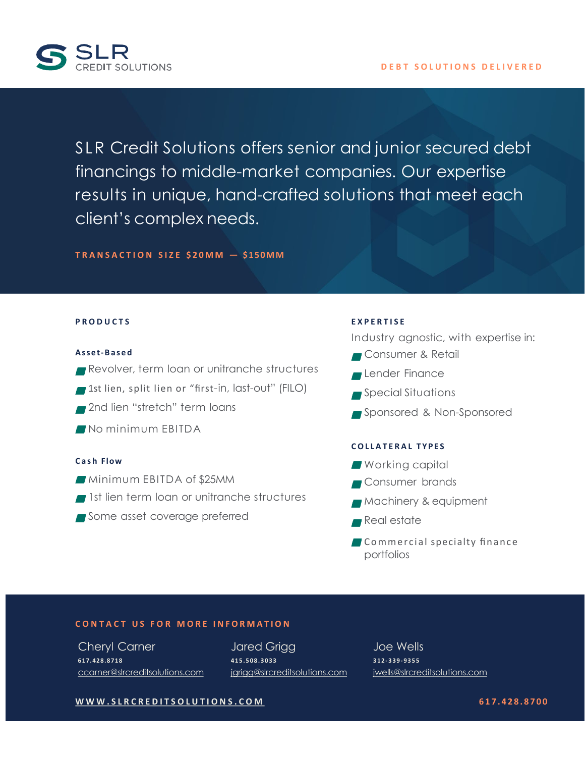

SLR Credit Solutions offers senior and junior secured debt financings to middle-market companies. Our expertise results in unique, hand-crafted solutions that meet each client's complex needs.

**TRANSACTION SIZE \$20MM — \$150MM**

### **PRODUCTS**

#### **Asset-Based**

- Revolver, term loan or unitranche structures
- 1st lien, split lien or "first-in, last-out" (FILO)
- 2nd lien "stretch" term loans
- No minimum FBITDA

#### **Cash Flow**

- Minimum EBITDA of \$25MM
- 1st lien term loan or unitranche structures
- Some asset coverage preferred

### **EXPERTISE**

Industry agnostic, with expertise in:

- Consumer & Retail
- **Lender Finance**
- Special Situations
- Sponsored & Non-Sponsored

### **COLLATERAL TYPES**

- **Working capital**
- **Consumer brands**
- **Machinery & equipment**
- Real estate
- **Commercial specialty finance** portfolios

### **CONTACT U S FOR MORE INFORMATION**

Cheryl Carner **617.428.8718** [ccarner@slrcreditsolutions.com](mailto:ccarner@slrcreditsolutions.com) Jared Grigg **415.508.3033** [jgrigg@slrcreditsolutions.com](mailto:jgrigg@slrcreditsolutions.com)

Joe Wells **312-339-9355** [jwells@slrcreditsolutions.com](mailto:jwells@slrcreditsolutions.com)

**[WWW.SLRCREDITSOLUTIONS.COM](http://WWW.SLRCREDITSOLUTIONS.COM/) 617.428.8700**